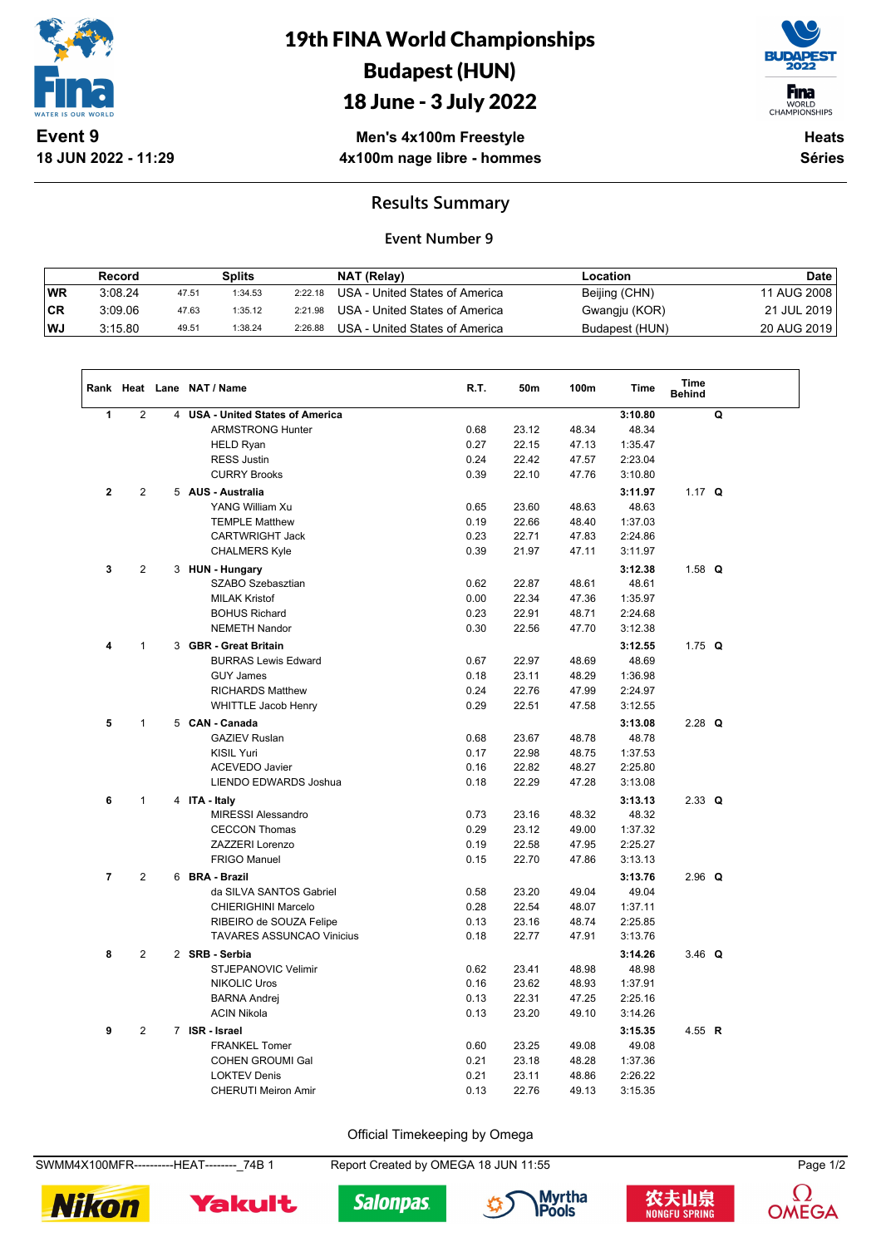

**18 JUN 2022 - 11:29**

# 19th FINA World Championships Budapest (HUN)

## 18 June - 3 July 2022



WORLD<br>CHAMPIONSHIPS

**Men's 4x100m Freestyle 4x100m nage libre - hommes**

**Heats Séries**

#### **Results Summary**

#### **Event Number 9**

|      | Record  |       | Splits  |         | NAT (Relay)                    | Location       | Date          |
|------|---------|-------|---------|---------|--------------------------------|----------------|---------------|
| WR   | 3:08.24 | 47.51 | 1:34.53 | 2:22.18 | USA - United States of America | Beijing (CHN)  | 11 AUG 2008 i |
| ∣CR  | 3:09.06 | 47.63 | 1:35.12 | 2:21.98 | USA - United States of America | Gwangju (KOR)  | 21 JUL 2019   |
| l WJ | 3:15.80 | 49.51 | 1:38.24 | 2:26.88 | USA - United States of America | Budapest (HUN) | 20 AUG 2019   |

|                |                |   | Rank Heat Lane NAT / Name             | R.T. | 50m   | 100m  | <b>Time</b> | <b>Time</b><br><b>Behind</b> |   |
|----------------|----------------|---|---------------------------------------|------|-------|-------|-------------|------------------------------|---|
| 1              | $\mathbf{2}$   | 4 | <b>USA - United States of America</b> |      |       |       | 3:10.80     |                              | Q |
|                |                |   | <b>ARMSTRONG Hunter</b>               | 0.68 | 23.12 | 48.34 | 48.34       |                              |   |
|                |                |   | <b>HELD Ryan</b>                      | 0.27 | 22.15 | 47.13 | 1:35.47     |                              |   |
|                |                |   | <b>RESS Justin</b>                    | 0.24 | 22.42 | 47.57 | 2:23.04     |                              |   |
|                |                |   | <b>CURRY Brooks</b>                   | 0.39 | 22.10 | 47.76 | 3:10.80     |                              |   |
| $\mathbf{2}$   | $\overline{2}$ |   | 5 AUS - Australia                     |      |       |       | 3:11.97     | 1.17 $Q$                     |   |
|                |                |   | YANG William Xu                       | 0.65 | 23.60 | 48.63 | 48.63       |                              |   |
|                |                |   | <b>TEMPLE Matthew</b>                 | 0.19 | 22.66 | 48.40 | 1:37.03     |                              |   |
|                |                |   | CARTWRIGHT Jack                       | 0.23 | 22.71 | 47.83 | 2:24.86     |                              |   |
|                |                |   | <b>CHALMERS Kyle</b>                  | 0.39 | 21.97 | 47.11 | 3:11.97     |                              |   |
| 3              | $\mathbf{2}$   |   | 3 HUN - Hungary                       |      |       |       | 3:12.38     | 1.58 $Q$                     |   |
|                |                |   | SZABO Szebasztian                     | 0.62 | 22.87 | 48.61 | 48.61       |                              |   |
|                |                |   | <b>MILAK Kristof</b>                  | 0.00 | 22.34 | 47.36 | 1:35.97     |                              |   |
|                |                |   | <b>BOHUS Richard</b>                  | 0.23 | 22.91 | 48.71 | 2:24.68     |                              |   |
|                |                |   | <b>NEMETH Nandor</b>                  | 0.30 | 22.56 | 47.70 | 3:12.38     |                              |   |
| 4              | $\mathbf{1}$   |   | 3 GBR - Great Britain                 |      |       |       | 3:12.55     | 1.75 $Q$                     |   |
|                |                |   | <b>BURRAS Lewis Edward</b>            | 0.67 | 22.97 | 48.69 | 48.69       |                              |   |
|                |                |   | <b>GUY James</b>                      | 0.18 | 23.11 | 48.29 | 1:36.98     |                              |   |
|                |                |   | <b>RICHARDS Matthew</b>               | 0.24 | 22.76 | 47.99 | 2:24.97     |                              |   |
|                |                |   | <b>WHITTLE Jacob Henry</b>            | 0.29 | 22.51 | 47.58 | 3:12.55     |                              |   |
| 5              | $\mathbf{1}$   |   | 5 CAN - Canada                        |      |       |       | 3:13.08     | $2.28$ Q                     |   |
|                |                |   | <b>GAZIEV Ruslan</b>                  | 0.68 | 23.67 | 48.78 | 48.78       |                              |   |
|                |                |   | <b>KISIL Yuri</b>                     | 0.17 | 22.98 | 48.75 | 1:37.53     |                              |   |
|                |                |   | ACEVEDO Javier                        | 0.16 | 22.82 | 48.27 | 2:25.80     |                              |   |
|                |                |   | LIENDO EDWARDS Joshua                 | 0.18 | 22.29 | 47.28 | 3:13.08     |                              |   |
| 6              | $\mathbf{1}$   |   | 4 ITA - Italy                         |      |       |       | 3:13.13     | $2.33$ Q                     |   |
|                |                |   | <b>MIRESSI Alessandro</b>             | 0.73 | 23.16 | 48.32 | 48.32       |                              |   |
|                |                |   | <b>CECCON Thomas</b>                  | 0.29 | 23.12 | 49.00 | 1:37.32     |                              |   |
|                |                |   | ZAZZERI Lorenzo                       | 0.19 | 22.58 | 47.95 | 2:25.27     |                              |   |
|                |                |   | <b>FRIGO Manuel</b>                   | 0.15 | 22.70 | 47.86 | 3:13.13     |                              |   |
| $\overline{7}$ | $\overline{2}$ |   | 6 BRA - Brazil                        |      |       |       | 3:13.76     | $2.96$ Q                     |   |
|                |                |   | da SILVA SANTOS Gabriel               | 0.58 | 23.20 | 49.04 | 49.04       |                              |   |
|                |                |   | <b>CHIERIGHINI Marcelo</b>            | 0.28 | 22.54 | 48.07 | 1:37.11     |                              |   |
|                |                |   | RIBEIRO de SOUZA Felipe               | 0.13 | 23.16 | 48.74 | 2:25.85     |                              |   |
|                |                |   | <b>TAVARES ASSUNCAO Vinicius</b>      | 0.18 | 22.77 | 47.91 | 3:13.76     |                              |   |
| 8              | 2              |   | 2 SRB - Serbia                        |      |       |       | 3:14.26     | 3.46 $Q$                     |   |
|                |                |   | STJEPANOVIC Velimir                   | 0.62 | 23.41 | 48.98 | 48.98       |                              |   |
|                |                |   | <b>NIKOLIC Uros</b>                   | 0.16 | 23.62 | 48.93 | 1:37.91     |                              |   |
|                |                |   | <b>BARNA Andrej</b>                   | 0.13 | 22.31 | 47.25 | 2:25.16     |                              |   |
|                |                |   | <b>ACIN Nikola</b>                    | 0.13 | 23.20 | 49.10 | 3:14.26     |                              |   |
| 9              | $\overline{2}$ |   | 7 ISR - Israel                        |      |       |       | 3:15.35     | 4.55 R                       |   |
|                |                |   | <b>FRANKEL Tomer</b>                  | 0.60 | 23.25 | 49.08 | 49.08       |                              |   |
|                |                |   | <b>COHEN GROUMI Gal</b>               | 0.21 | 23.18 | 48.28 | 1:37.36     |                              |   |
|                |                |   | <b>LOKTEV Denis</b>                   | 0.21 | 23.11 | 48.86 | 2:26.22     |                              |   |
|                |                |   | <b>CHERUTI Meiron Amir</b>            | 0.13 | 22.76 | 49.13 | 3:15.35     |                              |   |

Official Timekeeping by Omega

SWMM4X100MFR----------HEAT--------\_74B 1 Report Created by OMEGA 18 JUN 11:55 Page 1/2